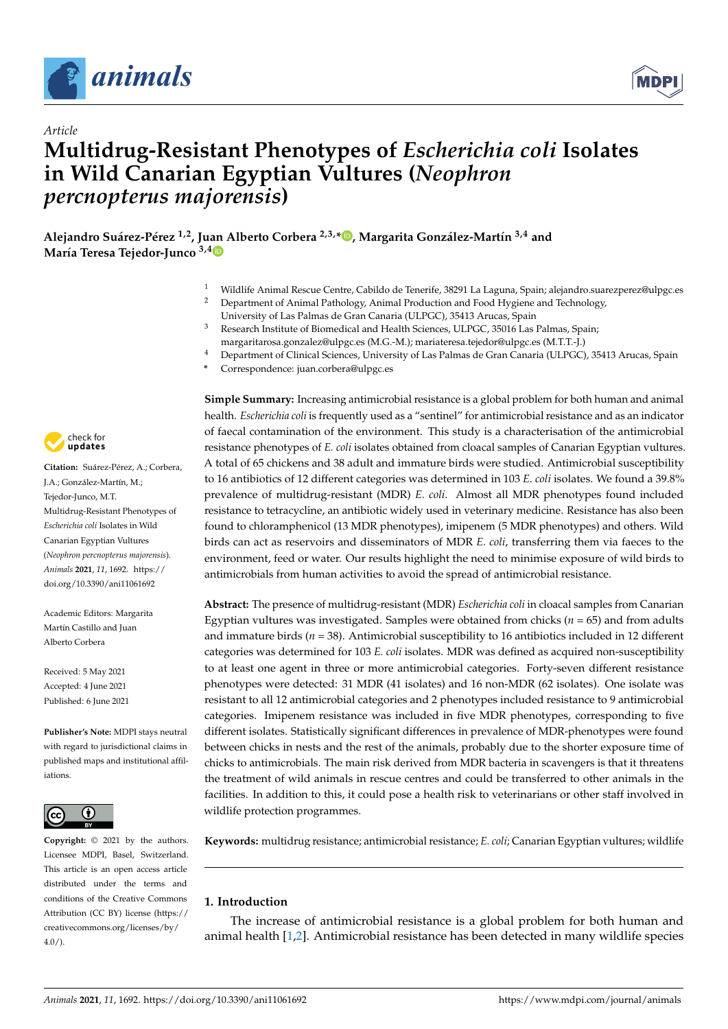



# *Article* **Multidrug-Resistant Phenotypes of** *Escherichia coli* **Isolates in Wild Canarian Egyptian Vultures (***Neophron percnopterus majorensis***)**

**Alejandro Suárez-Pérez 1,2, Ju[an](https://orcid.org/0000-0003-2387-1426) Alberto Corbera 2,3,[\\*](https://orcid.org/0000-0001-7812-2065) , Margarita González-Martín 3,4 and María Teresa Tejedor-Junco 3,4**

- <sup>1</sup> Wildlife Animal Rescue Centre, Cabildo de Tenerife, 38291 La Laguna, Spain; alejandro.suarezperez@ulpgc.es
- <sup>2</sup> Department of Animal Pathology, Animal Production and Food Hygiene and Technology, University of Las Palmas de Gran Canaria (ULPGC), 35413 Arucas, Spain
- <sup>3</sup> Research Institute of Biomedical and Health Sciences, ULPGC, 35016 Las Palmas, Spain; margaritarosa.gonzalez@ulpgc.es (M.G.-M.); mariateresa.tejedor@ulpgc.es (M.T.T.-J.)
- <sup>4</sup> Department of Clinical Sciences, University of Las Palmas de Gran Canaria (ULPGC), 35413 Arucas, Spain
- **\*** Correspondence: juan.corbera@ulpgc.es



**Citation:** Suárez-Pérez, A.; Corbera, J.A.; González-Martín, M.; Tejedor-Junco, M.T. Multidrug-Resistant Phenotypes of *Escherichia coli* Isolates in Wild Canarian Egyptian Vultures (*Neophron percnopterus majorensis*). *Animals* **2021**, *11*, 1692. [https://](https://doi.org/10.3390/ani11061692) [doi.org/10.3390/ani11061692](https://doi.org/10.3390/ani11061692)

Academic Editors: Margarita Martín Castillo and Juan Alberto Corbera

Received: 5 May 2021 Accepted: 4 June 2021 Published: 6 June 2021

**Publisher's Note:** MDPI stays neutral with regard to jurisdictional claims in published maps and institutional affiliations.



**Copyright:** © 2021 by the authors. Licensee MDPI, Basel, Switzerland. This article is an open access article distributed under the terms and conditions of the Creative Commons Attribution (CC BY) license (https:/[/](https://creativecommons.org/licenses/by/4.0/) [creativecommons.org/licenses/by/](https://creativecommons.org/licenses/by/4.0/)  $4.0/$ ).

**Simple Summary:** Increasing antimicrobial resistance is a global problem for both human and animal health. *Escherichia coli* is frequently used as a "sentinel" for antimicrobial resistance and as an indicator of faecal contamination of the environment. This study is a characterisation of the antimicrobial resistance phenotypes of *E. coli* isolates obtained from cloacal samples of Canarian Egyptian vultures. A total of 65 chickens and 38 adult and immature birds were studied. Antimicrobial susceptibility to 16 antibiotics of 12 different categories was determined in 103 *E. coli* isolates. We found a 39.8% prevalence of multidrug-resistant (MDR) *E. coli*. Almost all MDR phenotypes found included resistance to tetracycline, an antibiotic widely used in veterinary medicine. Resistance has also been found to chloramphenicol (13 MDR phenotypes), imipenem (5 MDR phenotypes) and others. Wild birds can act as reservoirs and disseminators of MDR *E. coli*, transferring them via faeces to the environment, feed or water. Our results highlight the need to minimise exposure of wild birds to antimicrobials from human activities to avoid the spread of antimicrobial resistance.

**Abstract:** The presence of multidrug-resistant (MDR) *Escherichia coli* in cloacal samples from Canarian Egyptian vultures was investigated. Samples were obtained from chicks (*n* = 65) and from adults and immature birds (*n* = 38). Antimicrobial susceptibility to 16 antibiotics included in 12 different categories was determined for 103 *E. coli* isolates. MDR was defined as acquired non-susceptibility to at least one agent in three or more antimicrobial categories. Forty-seven different resistance phenotypes were detected: 31 MDR (41 isolates) and 16 non-MDR (62 isolates). One isolate was resistant to all 12 antimicrobial categories and 2 phenotypes included resistance to 9 antimicrobial categories. Imipenem resistance was included in five MDR phenotypes, corresponding to five different isolates. Statistically significant differences in prevalence of MDR-phenotypes were found between chicks in nests and the rest of the animals, probably due to the shorter exposure time of chicks to antimicrobials. The main risk derived from MDR bacteria in scavengers is that it threatens the treatment of wild animals in rescue centres and could be transferred to other animals in the facilities. In addition to this, it could pose a health risk to veterinarians or other staff involved in wildlife protection programmes.

**Keywords:** multidrug resistance; antimicrobial resistance; *E. coli*; Canarian Egyptian vultures; wildlife

## **1. Introduction**

The increase of antimicrobial resistance is a global problem for both human and animal health [\[1](#page-7-0)[,2\]](#page-7-1). Antimicrobial resistance has been detected in many wildlife species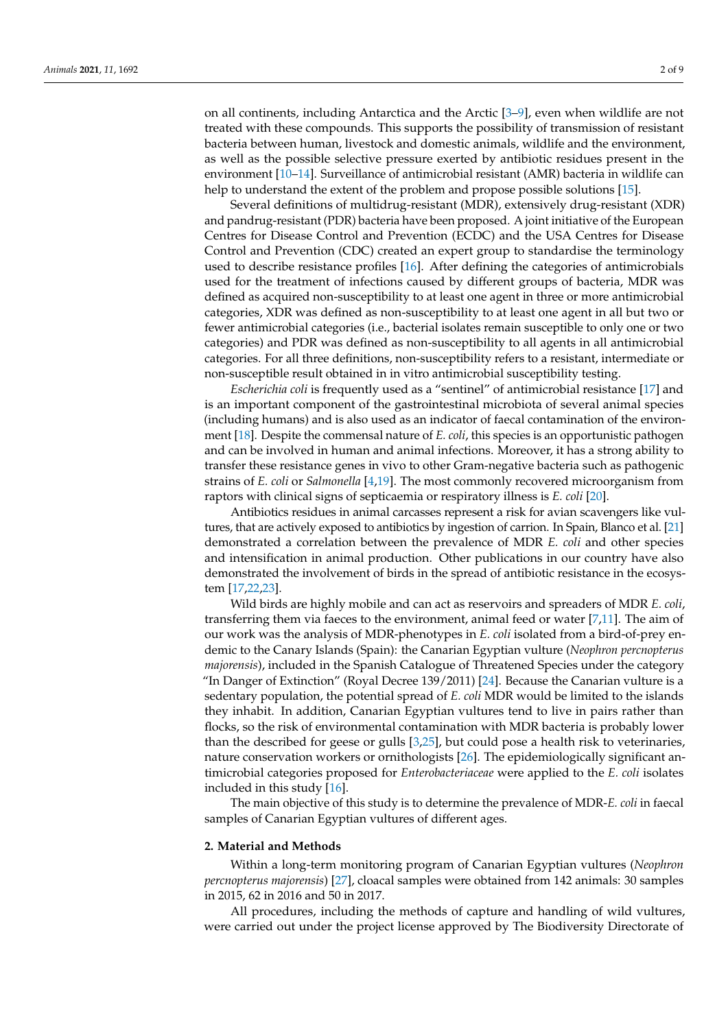on all continents, including Antarctica and the Arctic [\[3–](#page-7-2)[9\]](#page-7-3), even when wildlife are not treated with these compounds. This supports the possibility of transmission of resistant bacteria between human, livestock and domestic animals, wildlife and the environment, as well as the possible selective pressure exerted by antibiotic residues present in the environment [\[10–](#page-7-4)[14\]](#page-7-5). Surveillance of antimicrobial resistant (AMR) bacteria in wildlife can help to understand the extent of the problem and propose possible solutions [\[15\]](#page-7-6).

Several definitions of multidrug-resistant (MDR), extensively drug-resistant (XDR) and pandrug-resistant (PDR) bacteria have been proposed. A joint initiative of the European Centres for Disease Control and Prevention (ECDC) and the USA Centres for Disease Control and Prevention (CDC) created an expert group to standardise the terminology used to describe resistance profiles [\[16\]](#page-7-7). After defining the categories of antimicrobials used for the treatment of infections caused by different groups of bacteria, MDR was defined as acquired non-susceptibility to at least one agent in three or more antimicrobial categories, XDR was defined as non-susceptibility to at least one agent in all but two or fewer antimicrobial categories (i.e., bacterial isolates remain susceptible to only one or two categories) and PDR was defined as non-susceptibility to all agents in all antimicrobial categories. For all three definitions, non-susceptibility refers to a resistant, intermediate or non-susceptible result obtained in in vitro antimicrobial susceptibility testing.

*Escherichia coli* is frequently used as a "sentinel" of antimicrobial resistance [\[17\]](#page-7-8) and is an important component of the gastrointestinal microbiota of several animal species (including humans) and is also used as an indicator of faecal contamination of the environment [\[18\]](#page-7-9). Despite the commensal nature of *E. coli*, this species is an opportunistic pathogen and can be involved in human and animal infections. Moreover, it has a strong ability to transfer these resistance genes in vivo to other Gram-negative bacteria such as pathogenic strains of *E. coli* or *Salmonella* [\[4,](#page-7-10)[19\]](#page-7-11). The most commonly recovered microorganism from raptors with clinical signs of septicaemia or respiratory illness is *E. coli* [\[20\]](#page-7-12).

Antibiotics residues in animal carcasses represent a risk for avian scavengers like vultures, that are actively exposed to antibiotics by ingestion of carrion. In Spain, Blanco et al. [\[21\]](#page-7-13) demonstrated a correlation between the prevalence of MDR *E. coli* and other species and intensification in animal production. Other publications in our country have also demonstrated the involvement of birds in the spread of antibiotic resistance in the ecosystem [\[17](#page-7-8)[,22](#page-7-14)[,23\]](#page-7-15).

Wild birds are highly mobile and can act as reservoirs and spreaders of MDR *E. coli*, transferring them via faeces to the environment, animal feed or water [\[7,](#page-7-16)[11\]](#page-7-17). The aim of our work was the analysis of MDR-phenotypes in *E. coli* isolated from a bird-of-prey endemic to the Canary Islands (Spain): the Canarian Egyptian vulture (*Neophron percnopterus majorensis*), included in the Spanish Catalogue of Threatened Species under the category "In Danger of Extinction" (Royal Decree 139/2011) [\[24\]](#page-7-18). Because the Canarian vulture is a sedentary population, the potential spread of *E. coli* MDR would be limited to the islands they inhabit. In addition, Canarian Egyptian vultures tend to live in pairs rather than flocks, so the risk of environmental contamination with MDR bacteria is probably lower than the described for geese or gulls [\[3,](#page-7-2)[25\]](#page-8-0), but could pose a health risk to veterinaries, nature conservation workers or ornithologists [\[26\]](#page-8-1). The epidemiologically significant antimicrobial categories proposed for *Enterobacteriaceae* were applied to the *E. coli* isolates included in this study [\[16\]](#page-7-7).

The main objective of this study is to determine the prevalence of MDR-*E. coli* in faecal samples of Canarian Egyptian vultures of different ages.

#### **2. Material and Methods**

Within a long-term monitoring program of Canarian Egyptian vultures (*Neophron percnopterus majorensis*) [\[27\]](#page-8-2), cloacal samples were obtained from 142 animals: 30 samples in 2015, 62 in 2016 and 50 in 2017.

All procedures, including the methods of capture and handling of wild vultures, were carried out under the project license approved by The Biodiversity Directorate of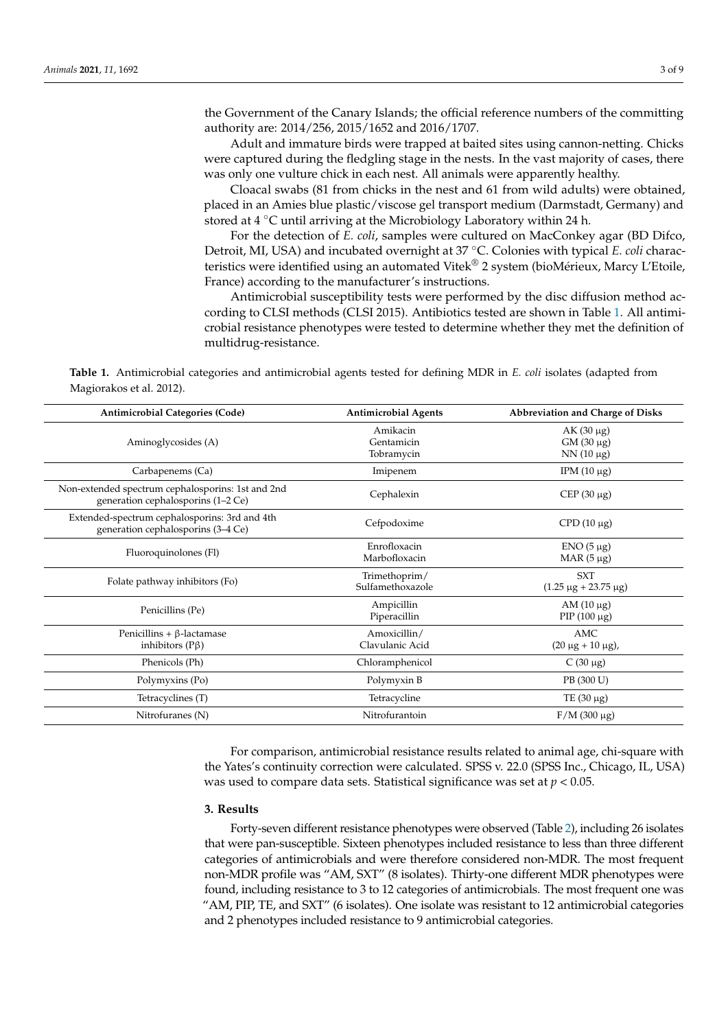<span id="page-2-1"></span>the Government of the Canary Islands; the official reference numbers of the committing authority are: 2014/256, 2015/1652 and 2016/1707.

Adult and immature birds were trapped at baited sites using cannon-netting. Chicks were captured during the fledgling stage in the nests. In the vast majority of cases, there was only one vulture chick in each nest. All animals were apparently healthy.

Cloacal swabs (81 from chicks in the nest and 61 from wild adults) were obtained, placed in an Amies blue plastic/viscose gel transport medium (Darmstadt, Germany) and stored at 4 ◦C until arriving at the Microbiology Laboratory within 24 h.

For the detection of *E. coli*, samples were cultured on MacConkey agar (BD Difco, Detroit, MI, USA) and incubated overnight at 37 ◦C. Colonies with typical *E. coli* characteristics were identified using an automated Vitek® 2 system (bioMérieux, Marcy L'Etoile, France) according to the manufacturer's instructions.

Antimicrobial susceptibility tests were performed by the disc diffusion method according to CLSI methods (CLSI 2015). Antibiotics tested are shown in Table [1.](#page-2-0) All antimicrobial resistance phenotypes were tested to determine whether they met the definition of multidrug-resistance.

<span id="page-2-0"></span>**Table 1.** Antimicrobial categories and antimicrobial agents tested for defining MDR in *E. coli* isolates (adapted from Magiorakos et al. 2012).

| <b>Antimicrobial Categories (Code)</b>                                                  | <b>Antimicrobial Agents</b>          | Abbreviation and Charge of Disks                   |  |  |  |  |
|-----------------------------------------------------------------------------------------|--------------------------------------|----------------------------------------------------|--|--|--|--|
| Aminoglycosides (A)                                                                     | Amikacin<br>Gentamicin<br>Tobramycin | $AK(30 \mu g)$<br>$GM(30 \mu g)$<br>$NN(10 \mu g)$ |  |  |  |  |
| Carbapenems (Ca)                                                                        | Imipenem                             | IPM $(10 \mu g)$                                   |  |  |  |  |
| Non-extended spectrum cephalosporins: 1st and 2nd<br>generation cephalosporins (1–2 Ce) | Cephalexin                           | CEP $(30 \mu g)$                                   |  |  |  |  |
| Extended-spectrum cephalosporins: 3rd and 4th<br>generation cephalosporins (3-4 Ce)     | Cefpodoxime                          | CPD $(10 \mu g)$                                   |  |  |  |  |
| Fluoroquinolones (Fl)                                                                   | Enrofloxacin<br>Marbofloxacin        | $ENO(5 \mu g)$<br>MAR $(5 \mu g)$                  |  |  |  |  |
| Folate pathway inhibitors (Fo)                                                          | Trimethoprim/<br>Sulfamethoxazole    | <b>SXT</b><br>$(1.25 \mu g + 23.75 \mu g)$         |  |  |  |  |
| Penicillins (Pe)                                                                        | Ampicillin<br>Piperacillin           | AM $(10 \mu g)$<br>PIP $(100 \mu g)$               |  |  |  |  |
| Penicillins + $\beta$ -lactamase<br>inhibitors $(P\beta)$                               | Amoxicillin/<br>Clavulanic Acid      | AMC<br>$(20 \mu g + 10 \mu g)$ ,                   |  |  |  |  |
| Phenicols (Ph)                                                                          | Chloramphenicol                      | $C(30 \mu g)$                                      |  |  |  |  |
| Polymyxins (Po)                                                                         | Polymyxin B                          | PB (300 U)                                         |  |  |  |  |
| Tetracyclines (T)                                                                       | Tetracycline                         | TE $(30 \mu g)$                                    |  |  |  |  |
| Nitrofuranes (N)                                                                        | Nitrofurantoin                       | $F/M$ (300 µg)                                     |  |  |  |  |

For comparison, antimicrobial resistance results related to animal age, chi-square with the Yates's continuity correction were calculated. SPSS v. 22.0 (SPSS Inc., Chicago, IL, USA) was used to compare data sets. Statistical significance was set at *p* < 0.05.

#### **3. Results**

Forty-seven different resistance phenotypes were observed (Table [2\)](#page-4-0), including 26 isolates that were pan-susceptible. Sixteen phenotypes included resistance to less than three different categories of antimicrobials and were therefore considered non-MDR. The most frequent non-MDR profile was "AM, SXT" (8 isolates). Thirty-one different MDR phenotypes were found, including resistance to 3 to 12 categories of antimicrobials. The most frequent one was "AM, PIP, TE, and SXT" (6 isolates). One isolate was resistant to 12 antimicrobial categories and 2 phenotypes included resistance to 9 antimicrobial categories.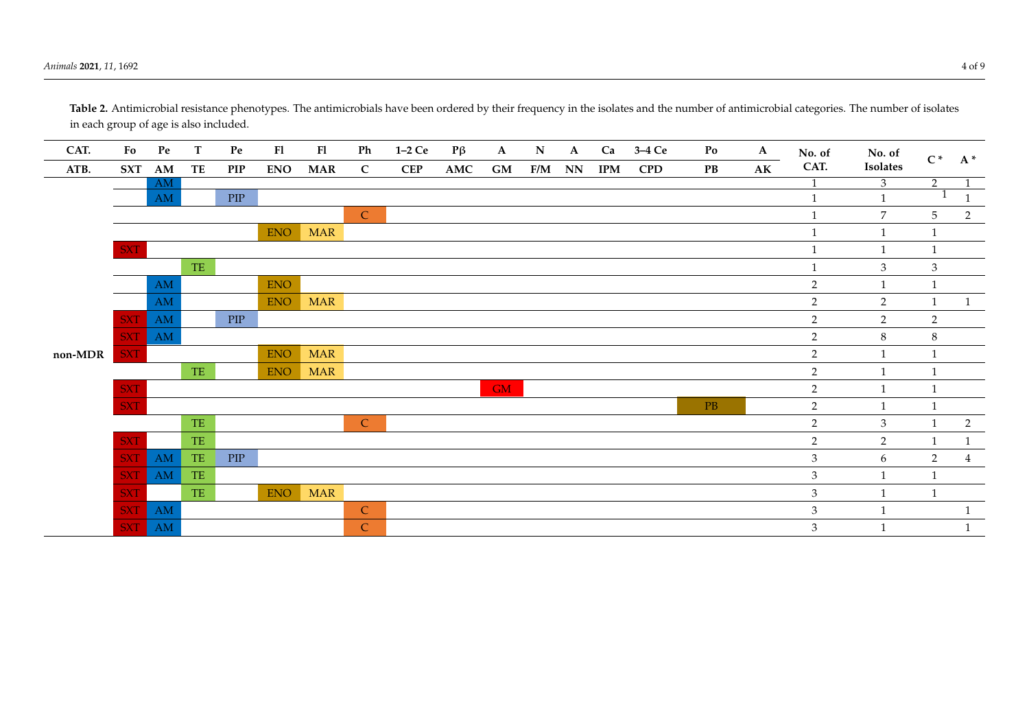**CAT. Fo Pe T Pe Fl Fl Ph 1–2 Ce P**β **A N A Ca 3–4 Ce Po A No. of CAT. No. of Isolates**  $C^*$  **A**\* **ATB. SXT AM TE PIP ENO MAR C CEP AMC GM F/M NN IPM CPD PB AK non-MDR**  $\frac{AM}{3}$   $\frac{3}{2}$  1  $\begin{array}{ccc} \text{AM} & \text{PIP} \end{array}$  1 1 1 1 C 1  $7$  5 2 ENO MAR 1 1 1  $SXT$  1 1 1 1 TE  $1$  3 3  $\mathsf{AM}$  ENO 2 1 1 AM ENO MAR  $\overline{2}$  2 1 1  $SXT$  AM PIP 2 2  $SXT$  am  $2$  8 8 8  $SXT$  ENO MAR 2 1 1 TE ENOMAR 2 1 1  $\mathbf{G}\mathbf{M}$  and  $\mathbf{G}\mathbf{M}$  and  $\mathbf{G}\mathbf{M}$  and  $\mathbf{M}$  and  $\mathbf{M}$  and  $\mathbf{M}$  and  $\mathbf{M}$  and  $\mathbf{M}$  and  $\mathbf{M}$  and  $\mathbf{M}$  and  $\mathbf{M}$  and  $\mathbf{M}$  and  $\mathbf{M}$  and  $\mathbf{M}$  and  $\mathbf{M}$  and  $\mathbf{M}$  an  $\begin{array}{ccccccccccccccccc}\n\text{SXT} & & & & 2 & & 1 & & 1\n\end{array}$ TE 2 3 1 2  $SXT$  TE 2 1 1  $SXT$  and the piper set of  $S$  and  $S$  3 6 3 4  $\pm$  $SXT$  and  $TE$  3 1 1  $SXT$  TE ENO MAR 3 1 1 SXT AM C 3 1 1 SXT AM C 3 1 1

Table 2. Antimicrobial resistance phenotypes. The antimicrobials have been ordered by their frequency in the isolates and the number of antimicrobial categories. The number of isolates in each group of age is also included.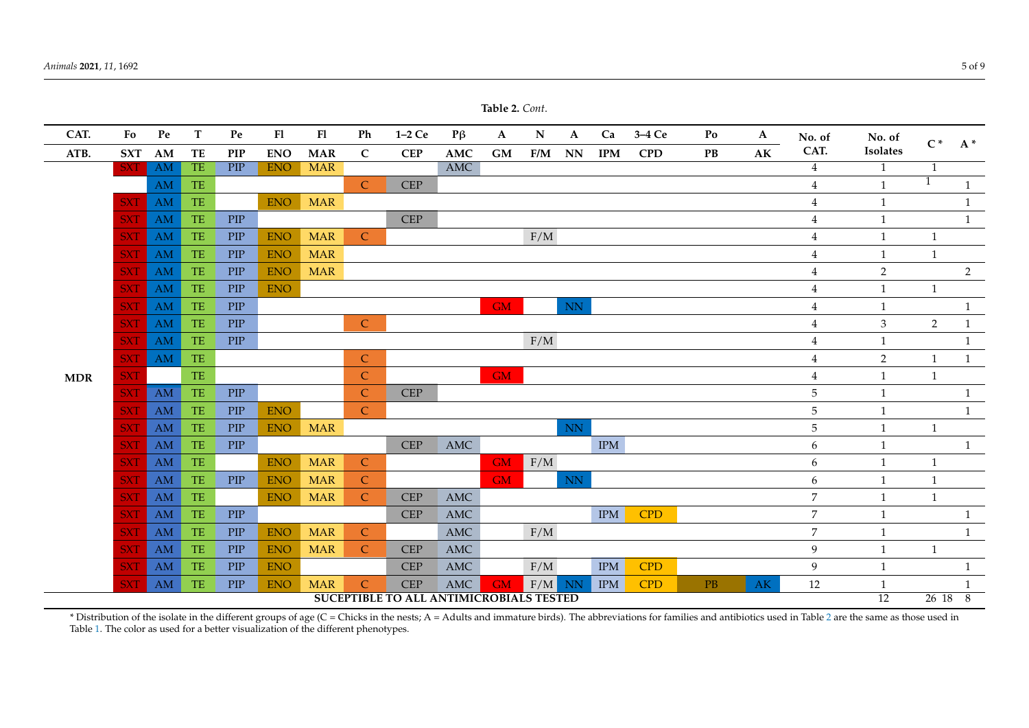| Animals 2021, 11, 1692 | .<br>5 of 9 |
|------------------------|-------------|
|                        |             |

<span id="page-4-1"></span>

| Table 2. Cont.                          |            |                        |                                                  |             |            |            |               |            |                      |                        |             |                         |            |            |    |              |                  |                |                |                |
|-----------------------------------------|------------|------------------------|--------------------------------------------------|-------------|------------|------------|---------------|------------|----------------------|------------------------|-------------|-------------------------|------------|------------|----|--------------|------------------|----------------|----------------|----------------|
| CAT.                                    | Fo         | Pe                     | T                                                | Pe          | F1         | F1         | Ph            | $1-2Ce$    | $P\beta$             | $\mathbf A$            | $\mathbf N$ | $\mathbf{A}$            | Ca         | 3-4 Ce     | Po | $\mathbf{A}$ | No. of           | No. of         | $C^*$          |                |
| ATB.                                    | <b>SXT</b> | AM                     | TE                                               | <b>PIP</b>  | <b>ENO</b> | <b>MAR</b> | $\mathsf{C}$  | CEP        | AMC                  | $\mathbf{G}\mathbf{M}$ | F/M         | NN                      | <b>IPM</b> | <b>CPD</b> | PB | AK           | CAT.             | Isolates       |                | $A^*$          |
|                                         | <b>SXT</b> | AM                     | <b>TE</b>                                        | PIP         | <b>ENO</b> | <b>MAR</b> |               |            | <b>AMC</b>           |                        |             |                         |            |            |    |              | $\overline{4}$   | $\mathbf{1}$   | 1              |                |
|                                         |            | AM                     | TE                                               |             |            |            | $\mathsf{C}$  | <b>CEP</b> |                      |                        |             |                         |            |            |    |              | $\overline{4}$   | $\mathbf{1}$   | $\mathbf{1}$   | $\mathbf{1}$   |
|                                         | <b>SXT</b> | AM                     | $\ensuremath{\mathsf{T}}\ensuremath{\mathsf{E}}$ |             | <b>ENO</b> | <b>MAR</b> |               |            |                      |                        |             |                         |            |            |    |              | $\overline{4}$   | $\mathbf{1}$   |                | $\mathbf{1}$   |
|                                         | <b>SXT</b> | AM                     | TE                                               | PIP         |            |            |               | <b>CEP</b> |                      |                        |             |                         |            |            |    |              | 4                | $\mathbf{1}$   |                | $\mathbf{1}$   |
|                                         | SXT        | <b>AM</b>              | <b>TE</b>                                        | PIP         | <b>ENO</b> | <b>MAR</b> | $\mathsf{C}$  |            |                      |                        | F/M         |                         |            |            |    |              | $\overline{4}$   | 1              | $\mathbf{1}$   |                |
|                                         | <b>SXT</b> | AM                     | $\ensuremath{\mathsf{T}}\ensuremath{\mathsf{E}}$ | PIP         | <b>ENO</b> | <b>MAR</b> |               |            |                      |                        |             |                         |            |            |    |              | 4                | 1              | $\mathbf{1}$   |                |
|                                         | <b>SXT</b> | AM                     | TE                                               | PIP         | <b>ENO</b> | <b>MAR</b> |               |            |                      |                        |             |                         |            |            |    |              | 4                | $\overline{2}$ |                | $\overline{2}$ |
|                                         | <b>SXT</b> | AM                     | TE                                               | PIP         | <b>ENO</b> |            |               |            |                      |                        |             |                         |            |            |    |              | $\overline{4}$   | $\mathbf{1}$   | $\mathbf{1}$   |                |
|                                         | <b>SXT</b> | AM                     | TE                                               | PIP         |            |            |               |            |                      | <b>GM</b>              |             | $\mathbf{N} \mathbf{N}$ |            |            |    |              | $\overline{4}$   | $\mathbf{1}$   |                | $\mathbf{1}$   |
|                                         | <b>SXT</b> | AM                     | TE                                               | ${\rm PIP}$ |            |            | $\mathsf{C}$  |            |                      |                        |             |                         |            |            |    |              | 4                | 3              | $\overline{2}$ | $\mathbf{1}$   |
|                                         | <b>SXT</b> | <b>AM</b>              | TE                                               | PIP         |            |            |               |            |                      |                        | F/M         |                         |            |            |    |              | 4                | 1              |                | $\mathbf{1}$   |
|                                         | <b>SXT</b> | AM                     | TE.                                              |             |            |            | $\mathsf{C}$  |            |                      |                        |             |                         |            |            |    |              | $\overline{4}$   | $\overline{2}$ | 1              | $\mathbf{1}$   |
| <b>MDR</b>                              | <b>SXT</b> |                        | $\ensuremath{\mathsf{TE}}$                       |             |            |            | $\mathsf{C}$  |            |                      | <b>GM</b>              |             |                         |            |            |    |              | 4                | $\overline{1}$ | $\mathbf{1}$   |                |
|                                         | <b>SXT</b> | AM                     | <b>TE</b>                                        | PIP         |            |            | $\mathsf{C}$  | <b>CEP</b> |                      |                        |             |                         |            |            |    |              | 5                | -1             |                | $\mathbf{1}$   |
|                                         | <b>SXT</b> | AM                     | TE                                               | PIP         | <b>ENO</b> |            | $\mathsf{C}$  |            |                      |                        |             |                         |            |            |    |              | $\mathbf 5$      | $\mathbf{1}$   |                | $\mathbf{1}$   |
|                                         | <b>SXT</b> | AM                     | TE                                               | PIP         | <b>ENO</b> | <b>MAR</b> |               |            |                      |                        |             | $\rm NN$                |            |            |    |              | 5                | $\mathbf{1}$   | $\mathbf{1}$   |                |
|                                         | <b>SXT</b> | AM                     | TE                                               | PIP         |            |            |               | <b>CEP</b> | <b>AMC</b>           |                        |             |                         | <b>IPM</b> |            |    |              | 6                | 1              |                | $\mathbf{1}$   |
|                                         | <b>SXT</b> | AM                     | $\ensuremath{\mathsf{T}}\ensuremath{\mathsf{E}}$ |             | <b>ENO</b> | <b>MAR</b> | $\mathsf{C}$  |            |                      | <b>GM</b>              | F/M         |                         |            |            |    |              | 6                | $\mathbf{1}$   | 1              |                |
|                                         | SXT        | AM                     | TE                                               | PIP         | <b>ENO</b> | <b>MAR</b> | $\mathsf{C}$  |            |                      | <b>GM</b>              |             | NN                      |            |            |    |              | 6                | 1              | 1              |                |
|                                         | <b>SXT</b> | $\mathbf{A}\mathbf{M}$ | $\ensuremath{\mathsf{T}}\ensuremath{\mathsf{E}}$ |             | <b>ENO</b> | <b>MAR</b> | $\mathsf{C}$  | <b>CEP</b> | $\operatorname{AMC}$ |                        |             |                         |            |            |    |              | $\boldsymbol{7}$ | $\mathbf{1}$   | $\mathbf{1}$   |                |
|                                         | SXT        | AM                     | TE                                               | PIP         |            |            |               | <b>CEP</b> | $\operatorname{AMC}$ |                        |             |                         | IPM        | <b>CPD</b> |    |              | $\overline{7}$   | $\overline{1}$ |                | $\mathbf{1}$   |
|                                         | <b>SXT</b> | AM                     | <b>TE</b>                                        | PIP         | <b>ENO</b> | <b>MAR</b> | $\mathcal{C}$ |            | $\operatorname{AMC}$ |                        | F/M         |                         |            |            |    |              | $\overline{7}$   | -1             |                | $\mathbf{1}$   |
|                                         | <b>SXT</b> | AM                     | TE                                               | PIP         | <b>ENO</b> | <b>MAR</b> | $\mathcal{C}$ | <b>CEP</b> | AMC                  |                        |             |                         |            |            |    |              | $\mathbf{9}$     | 1              | 1              |                |
|                                         | SXT        | AM                     | <b>TE</b>                                        | PIP         | <b>ENO</b> |            |               | <b>CEP</b> | AMC                  |                        | F/M         |                         | <b>IPM</b> | <b>CPD</b> |    |              | 9                | 1              |                | $\mathbf{1}$   |
|                                         | <b>SXT</b> | $\mathbf{A}\mathbf{M}$ | TE                                               | PIP         | <b>ENO</b> | <b>MAR</b> | $\mathsf{C}$  | <b>CEP</b> | AMC                  | <b>GM</b>              | F/M         | <b>NN</b>               | <b>IPM</b> | <b>CPD</b> | PB | AK           | 12               | 1              |                | $\mathbf{1}$   |
| SUCEPTIBLE TO ALL ANTIMICROBIALS TESTED |            |                        |                                                  |             |            |            |               |            |                      |                        |             | 12                      | 26188      |            |    |              |                  |                |                |                |

<span id="page-4-0"></span>\* Distribution of the isolate in the different groups of age (C = Chicks in the nests; A = Adults and immature birds). The abbreviations for families and antibiotics used in Table [2](#page-4-1) are the same as those used in Table [1.](#page-2-1) The color as used for a better visualization of the different phenotypes.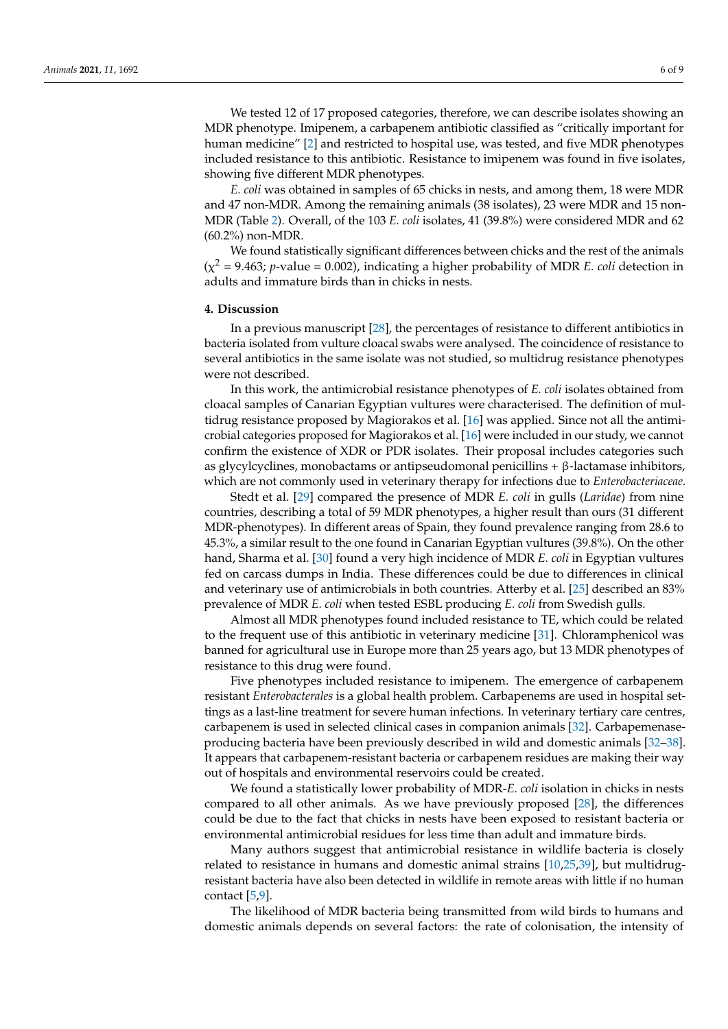We tested 12 of 17 proposed categories, therefore, we can describe isolates showing an MDR phenotype. Imipenem, a carbapenem antibiotic classified as "critically important for human medicine" [\[2\]](#page-7-1) and restricted to hospital use, was tested, and five MDR phenotypes included resistance to this antibiotic. Resistance to imipenem was found in five isolates, showing five different MDR phenotypes.

*E. coli* was obtained in samples of 65 chicks in nests, and among them, 18 were MDR and 47 non-MDR. Among the remaining animals (38 isolates), 23 were MDR and 15 non-MDR (Table [2\)](#page-4-0). Overall, of the 103 *E. coli* isolates, 41 (39.8%) were considered MDR and 62 (60.2%) non-MDR.

We found statistically significant differences between chicks and the rest of the animals  $(\chi^2 = 9.463; p-value = 0.002)$ , indicating a higher probability of MDR *E. coli* detection in adults and immature birds than in chicks in nests.

## **4. Discussion**

In a previous manuscript [\[28\]](#page-8-3), the percentages of resistance to different antibiotics in bacteria isolated from vulture cloacal swabs were analysed. The coincidence of resistance to several antibiotics in the same isolate was not studied, so multidrug resistance phenotypes were not described.

In this work, the antimicrobial resistance phenotypes of *E. coli* isolates obtained from cloacal samples of Canarian Egyptian vultures were characterised. The definition of multidrug resistance proposed by Magiorakos et al. [\[16\]](#page-7-7) was applied. Since not all the antimicrobial categories proposed for Magiorakos et al. [\[16\]](#page-7-7) were included in our study, we cannot confirm the existence of XDR or PDR isolates. Their proposal includes categories such as glycylcyclines, monobactams or antipseudomonal penicillins + β-lactamase inhibitors, which are not commonly used in veterinary therapy for infections due to *Enterobacteriaceae*.

Stedt et al. [\[29\]](#page-8-4) compared the presence of MDR *E. coli* in gulls (*Laridae*) from nine countries, describing a total of 59 MDR phenotypes, a higher result than ours (31 different MDR-phenotypes). In different areas of Spain, they found prevalence ranging from 28.6 to 45.3%, a similar result to the one found in Canarian Egyptian vultures (39.8%). On the other hand, Sharma et al. [\[30\]](#page-8-5) found a very high incidence of MDR *E. coli* in Egyptian vultures fed on carcass dumps in India. These differences could be due to differences in clinical and veterinary use of antimicrobials in both countries. Atterby et al. [\[25\]](#page-8-0) described an 83% prevalence of MDR *E. coli* when tested ESBL producing *E. coli* from Swedish gulls.

Almost all MDR phenotypes found included resistance to TE, which could be related to the frequent use of this antibiotic in veterinary medicine [\[31\]](#page-8-6). Chloramphenicol was banned for agricultural use in Europe more than 25 years ago, but 13 MDR phenotypes of resistance to this drug were found.

Five phenotypes included resistance to imipenem. The emergence of carbapenem resistant *Enterobacterales* is a global health problem. Carbapenems are used in hospital settings as a last-line treatment for severe human infections. In veterinary tertiary care centres, carbapenem is used in selected clinical cases in companion animals [\[32\]](#page-8-7). Carbapemenaseproducing bacteria have been previously described in wild and domestic animals [\[32](#page-8-7)[–38\]](#page-8-8). It appears that carbapenem-resistant bacteria or carbapenem residues are making their way out of hospitals and environmental reservoirs could be created.

We found a statistically lower probability of MDR-*E. coli* isolation in chicks in nests compared to all other animals. As we have previously proposed [\[28\]](#page-8-3), the differences could be due to the fact that chicks in nests have been exposed to resistant bacteria or environmental antimicrobial residues for less time than adult and immature birds.

Many authors suggest that antimicrobial resistance in wildlife bacteria is closely related to resistance in humans and domestic animal strains [\[10](#page-7-4)[,25](#page-8-0)[,39\]](#page-8-9), but multidrugresistant bacteria have also been detected in wildlife in remote areas with little if no human contact [\[5,](#page-7-19)[9\]](#page-7-3).

The likelihood of MDR bacteria being transmitted from wild birds to humans and domestic animals depends on several factors: the rate of colonisation, the intensity of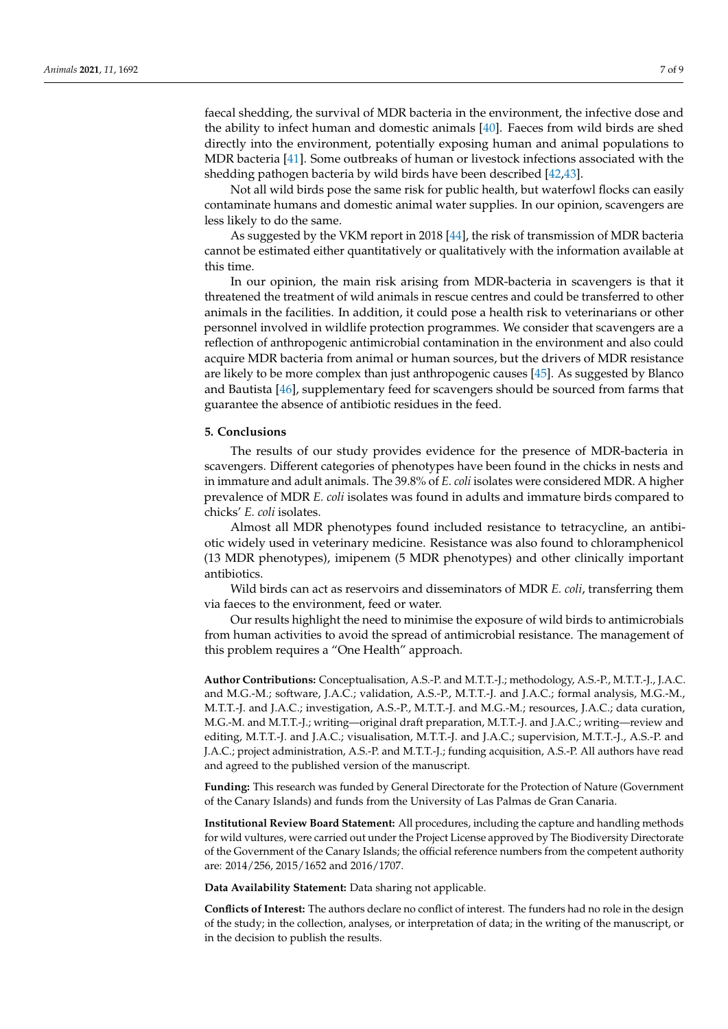faecal shedding, the survival of MDR bacteria in the environment, the infective dose and the ability to infect human and domestic animals [\[40\]](#page-8-10). Faeces from wild birds are shed directly into the environment, potentially exposing human and animal populations to MDR bacteria [\[41\]](#page-8-11). Some outbreaks of human or livestock infections associated with the shedding pathogen bacteria by wild birds have been described [\[42](#page-8-12)[,43\]](#page-8-13).

Not all wild birds pose the same risk for public health, but waterfowl flocks can easily contaminate humans and domestic animal water supplies. In our opinion, scavengers are less likely to do the same.

As suggested by the VKM report in 2018 [\[44\]](#page-8-14), the risk of transmission of MDR bacteria cannot be estimated either quantitatively or qualitatively with the information available at this time.

In our opinion, the main risk arising from MDR-bacteria in scavengers is that it threatened the treatment of wild animals in rescue centres and could be transferred to other animals in the facilities. In addition, it could pose a health risk to veterinarians or other personnel involved in wildlife protection programmes. We consider that scavengers are a reflection of anthropogenic antimicrobial contamination in the environment and also could acquire MDR bacteria from animal or human sources, but the drivers of MDR resistance are likely to be more complex than just anthropogenic causes [\[45\]](#page-8-15). As suggested by Blanco and Bautista [\[46\]](#page-8-16), supplementary feed for scavengers should be sourced from farms that guarantee the absence of antibiotic residues in the feed.

#### **5. Conclusions**

The results of our study provides evidence for the presence of MDR-bacteria in scavengers. Different categories of phenotypes have been found in the chicks in nests and in immature and adult animals. The 39.8% of *E. coli* isolates were considered MDR. A higher prevalence of MDR *E. coli* isolates was found in adults and immature birds compared to chicks' *E. coli* isolates.

Almost all MDR phenotypes found included resistance to tetracycline, an antibiotic widely used in veterinary medicine. Resistance was also found to chloramphenicol (13 MDR phenotypes), imipenem (5 MDR phenotypes) and other clinically important antibiotics.

Wild birds can act as reservoirs and disseminators of MDR *E. coli*, transferring them via faeces to the environment, feed or water.

Our results highlight the need to minimise the exposure of wild birds to antimicrobials from human activities to avoid the spread of antimicrobial resistance. The management of this problem requires a "One Health" approach.

**Author Contributions:** Conceptualisation, A.S.-P. and M.T.T.-J.; methodology, A.S.-P., M.T.T.-J., J.A.C. and M.G.-M.; software, J.A.C.; validation, A.S.-P., M.T.T.-J. and J.A.C.; formal analysis, M.G.-M., M.T.T.-J. and J.A.C.; investigation, A.S.-P., M.T.T.-J. and M.G.-M.; resources, J.A.C.; data curation, M.G.-M. and M.T.T.-J.; writing—original draft preparation, M.T.T.-J. and J.A.C.; writing—review and editing, M.T.T.-J. and J.A.C.; visualisation, M.T.T.-J. and J.A.C.; supervision, M.T.T.-J., A.S.-P. and J.A.C.; project administration, A.S.-P. and M.T.T.-J.; funding acquisition, A.S.-P. All authors have read and agreed to the published version of the manuscript.

**Funding:** This research was funded by General Directorate for the Protection of Nature (Government of the Canary Islands) and funds from the University of Las Palmas de Gran Canaria.

**Institutional Review Board Statement:** All procedures, including the capture and handling methods for wild vultures, were carried out under the Project License approved by The Biodiversity Directorate of the Government of the Canary Islands; the official reference numbers from the competent authority are: 2014/256, 2015/1652 and 2016/1707.

**Data Availability Statement:** Data sharing not applicable.

**Conflicts of Interest:** The authors declare no conflict of interest. The funders had no role in the design of the study; in the collection, analyses, or interpretation of data; in the writing of the manuscript, or in the decision to publish the results.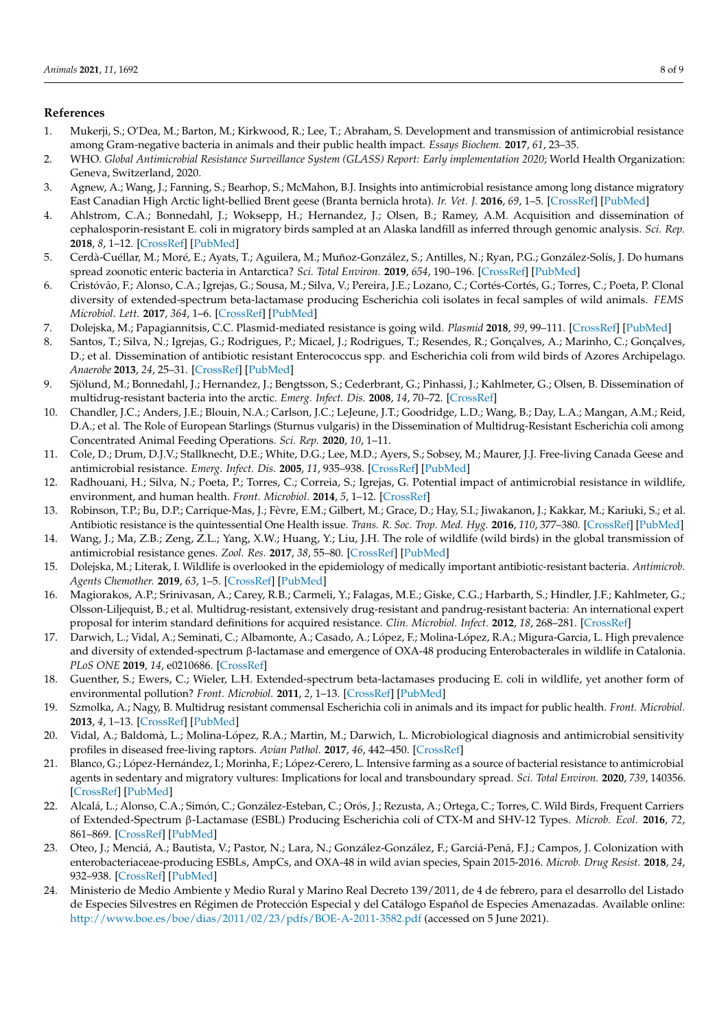## **References**

- <span id="page-7-0"></span>1. Mukerji, S.; O'Dea, M.; Barton, M.; Kirkwood, R.; Lee, T.; Abraham, S. Development and transmission of antimicrobial resistance among Gram-negative bacteria in animals and their public health impact. *Essays Biochem.* **2017**, *61*, 23–35.
- <span id="page-7-1"></span>2. WHO. *Global Antimicrobial Resistance Surveillance System (GLASS) Report: Early implementation 2020*; World Health Organization: Geneva, Switzerland, 2020.
- <span id="page-7-2"></span>3. Agnew, A.; Wang, J.; Fanning, S.; Bearhop, S.; McMahon, B.J. Insights into antimicrobial resistance among long distance migratory East Canadian High Arctic light-bellied Brent geese (Branta bernicla hrota). *Ir. Vet. J.* **2016**, *69*, 1–5. [\[CrossRef\]](http://doi.org/10.1186/s13620-016-0072-7) [\[PubMed\]](http://www.ncbi.nlm.nih.gov/pubmed/27651892)
- <span id="page-7-10"></span>4. Ahlstrom, C.A.; Bonnedahl, J.; Woksepp, H.; Hernandez, J.; Olsen, B.; Ramey, A.M. Acquisition and dissemination of cephalosporin-resistant E. coli in migratory birds sampled at an Alaska landfill as inferred through genomic analysis. *Sci. Rep.* **2018**, *8*, 1–12. [\[CrossRef\]](http://doi.org/10.1038/s41598-018-25474-w) [\[PubMed\]](http://www.ncbi.nlm.nih.gov/pubmed/29743625)
- <span id="page-7-19"></span>5. Cerdà-Cuéllar, M.; Moré, E.; Ayats, T.; Aguilera, M.; Muñoz-González, S.; Antilles, N.; Ryan, P.G.; González-Solís, J. Do humans spread zoonotic enteric bacteria in Antarctica? *Sci. Total Environ.* **2019**, *654*, 190–196. [\[CrossRef\]](http://doi.org/10.1016/j.scitotenv.2018.10.272) [\[PubMed\]](http://www.ncbi.nlm.nih.gov/pubmed/30445320)
- 6. Cristóvão, F.; Alonso, C.A.; Igrejas, G.; Sousa, M.; Silva, V.; Pereira, J.E.; Lozano, C.; Cortés-Cortés, G.; Torres, C.; Poeta, P. Clonal diversity of extended-spectrum beta-lactamase producing Escherichia coli isolates in fecal samples of wild animals. *FEMS Microbiol. Lett.* **2017**, *364*, 1–6. [\[CrossRef\]](http://doi.org/10.1093/femsle/fnx039) [\[PubMed\]](http://www.ncbi.nlm.nih.gov/pubmed/28364731)
- <span id="page-7-16"></span>7. Dolejska, M.; Papagiannitsis, C.C. Plasmid-mediated resistance is going wild. *Plasmid* **2018**, *99*, 99–111. [\[CrossRef\]](http://doi.org/10.1016/j.plasmid.2018.09.010) [\[PubMed\]](http://www.ncbi.nlm.nih.gov/pubmed/30243983)
- 8. Santos, T.; Silva, N.; Igrejas, G.; Rodrigues, P.; Micael, J.; Rodrigues, T.; Resendes, R.; Gonçalves, A.; Marinho, C.; Gonçalves, D.; et al. Dissemination of antibiotic resistant Enterococcus spp. and Escherichia coli from wild birds of Azores Archipelago. *Anaerobe* **2013**, *24*, 25–31. [\[CrossRef\]](http://doi.org/10.1016/j.anaerobe.2013.09.004) [\[PubMed\]](http://www.ncbi.nlm.nih.gov/pubmed/24047647)
- <span id="page-7-3"></span>9. Sjölund, M.; Bonnedahl, J.; Hernandez, J.; Bengtsson, S.; Cederbrant, G.; Pinhassi, J.; Kahlmeter, G.; Olsen, B. Dissemination of multidrug-resistant bacteria into the arctic. *Emerg. Infect. Dis.* **2008**, *14*, 70–72. [\[CrossRef\]](http://doi.org/10.3201/eid1401.070704)
- <span id="page-7-4"></span>10. Chandler, J.C.; Anders, J.E.; Blouin, N.A.; Carlson, J.C.; LeJeune, J.T.; Goodridge, L.D.; Wang, B.; Day, L.A.; Mangan, A.M.; Reid, D.A.; et al. The Role of European Starlings (Sturnus vulgaris) in the Dissemination of Multidrug-Resistant Escherichia coli among Concentrated Animal Feeding Operations. *Sci. Rep.* **2020**, *10*, 1–11.
- <span id="page-7-17"></span>11. Cole, D.; Drum, D.J.V.; Stallknecht, D.E.; White, D.G.; Lee, M.D.; Ayers, S.; Sobsey, M.; Maurer, J.J. Free-living Canada Geese and antimicrobial resistance. *Emerg. Infect. Dis.* **2005**, *11*, 935–938. [\[CrossRef\]](http://doi.org/10.3201/eid1106.040717) [\[PubMed\]](http://www.ncbi.nlm.nih.gov/pubmed/15963291)
- 12. Radhouani, H.; Silva, N.; Poeta, P.; Torres, C.; Correia, S.; Igrejas, G. Potential impact of antimicrobial resistance in wildlife, environment, and human health. *Front. Microbiol.* **2014**, *5*, 1–12. [\[CrossRef\]](http://doi.org/10.3389/fmicb.2014.00023)
- 13. Robinson, T.P.; Bu, D.P.; Carrique-Mas, J.; Fèvre, E.M.; Gilbert, M.; Grace, D.; Hay, S.I.; Jiwakanon, J.; Kakkar, M.; Kariuki, S.; et al. Antibiotic resistance is the quintessential One Health issue. *Trans. R. Soc. Trop. Med. Hyg.* **2016**, *110*, 377–380. [\[CrossRef\]](http://doi.org/10.1093/trstmh/trw048) [\[PubMed\]](http://www.ncbi.nlm.nih.gov/pubmed/27475987)
- <span id="page-7-5"></span>14. Wang, J.; Ma, Z.B.; Zeng, Z.L.; Yang, X.W.; Huang, Y.; Liu, J.H. The role of wildlife (wild birds) in the global transmission of antimicrobial resistance genes. *Zool. Res.* **2017**, *38*, 55–80. [\[CrossRef\]](http://doi.org/10.24272/j.issn.2095-8137.2017.024) [\[PubMed\]](http://www.ncbi.nlm.nih.gov/pubmed/28825455)
- <span id="page-7-6"></span>15. Dolejska, M.; Literak, I. Wildlife is overlooked in the epidemiology of medically important antibiotic-resistant bacteria. *Antimicrob. Agents Chemother.* **2019**, *63*, 1–5. [\[CrossRef\]](http://doi.org/10.1128/AAC.01167-19) [\[PubMed\]](http://www.ncbi.nlm.nih.gov/pubmed/31209001)
- <span id="page-7-7"></span>16. Magiorakos, A.P.; Srinivasan, A.; Carey, R.B.; Carmeli, Y.; Falagas, M.E.; Giske, C.G.; Harbarth, S.; Hindler, J.F.; Kahlmeter, G.; Olsson-Liljequist, B.; et al. Multidrug-resistant, extensively drug-resistant and pandrug-resistant bacteria: An international expert proposal for interim standard definitions for acquired resistance. *Clin. Microbiol. Infect.* **2012**, *18*, 268–281. [\[CrossRef\]](http://doi.org/10.1111/j.1469-0691.2011.03570.x)
- <span id="page-7-8"></span>17. Darwich, L.; Vidal, A.; Seminati, C.; Albamonte, A.; Casado, A.; López, F.; Molina-López, R.A.; Migura-Garcia, L. High prevalence and diversity of extended-spectrum β-lactamase and emergence of OXA-48 producing Enterobacterales in wildlife in Catalonia. *PLoS ONE* **2019**, *14*, e0210686. [\[CrossRef\]](http://doi.org/10.1371/journal.pone.0210686)
- <span id="page-7-9"></span>18. Guenther, S.; Ewers, C.; Wieler, L.H. Extended-spectrum beta-lactamases producing E. coli in wildlife, yet another form of environmental pollution? *Front. Microbiol.* **2011**, *2*, 1–13. [\[CrossRef\]](http://doi.org/10.3389/fmicb.2011.00246) [\[PubMed\]](http://www.ncbi.nlm.nih.gov/pubmed/22203818)
- <span id="page-7-11"></span>19. Szmolka, A.; Nagy, B. Multidrug resistant commensal Escherichia coli in animals and its impact for public health. *Front. Microbiol.* **2013**, *4*, 1–13. [\[CrossRef\]](http://doi.org/10.3389/fmicb.2013.00258) [\[PubMed\]](http://www.ncbi.nlm.nih.gov/pubmed/24027562)
- <span id="page-7-12"></span>20. Vidal, A.; Baldomà, L.; Molina-López, R.A.; Martin, M.; Darwich, L. Microbiological diagnosis and antimicrobial sensitivity profiles in diseased free-living raptors. *Avian Pathol.* **2017**, *46*, 442–450. [\[CrossRef\]](http://doi.org/10.1080/03079457.2017.1304529)
- <span id="page-7-13"></span>21. Blanco, G.; López-Hernández, I.; Morinha, F.; López-Cerero, L. Intensive farming as a source of bacterial resistance to antimicrobial agents in sedentary and migratory vultures: Implications for local and transboundary spread. *Sci. Total Environ.* **2020**, *739*, 140356. [\[CrossRef\]](http://doi.org/10.1016/j.scitotenv.2020.140356) [\[PubMed\]](http://www.ncbi.nlm.nih.gov/pubmed/32758969)
- <span id="page-7-14"></span>22. Alcalá, L.; Alonso, C.A.; Simón, C.; González-Esteban, C.; Orós, J.; Rezusta, A.; Ortega, C.; Torres, C. Wild Birds, Frequent Carriers of Extended-Spectrum β-Lactamase (ESBL) Producing Escherichia coli of CTX-M and SHV-12 Types. *Microb. Ecol.* **2016**, *72*, 861–869. [\[CrossRef\]](http://doi.org/10.1007/s00248-015-0718-0) [\[PubMed\]](http://www.ncbi.nlm.nih.gov/pubmed/26687342)
- <span id="page-7-15"></span>23. Oteo, J.; Menciá, A.; Bautista, V.; Pastor, N.; Lara, N.; González-González, F.; Garciá-Penã, F.J.; Campos, J. Colonization with enterobacteriaceae-producing ESBLs, AmpCs, and OXA-48 in wild avian species, Spain 2015-2016. *Microb. Drug Resist.* **2018**, *24*, 932–938. [\[CrossRef\]](http://doi.org/10.1089/mdr.2018.0004) [\[PubMed\]](http://www.ncbi.nlm.nih.gov/pubmed/29782210)
- <span id="page-7-18"></span>24. Ministerio de Medio Ambiente y Medio Rural y Marino Real Decreto 139/2011, de 4 de febrero, para el desarrollo del Listado de Especies Silvestres en Régimen de Protección Especial y del Catálogo Español de Especies Amenazadas. Available online: <http://www.boe.es/boe/dias/2011/02/23/pdfs/BOE-A-2011-3582.pdf> (accessed on 5 June 2021).